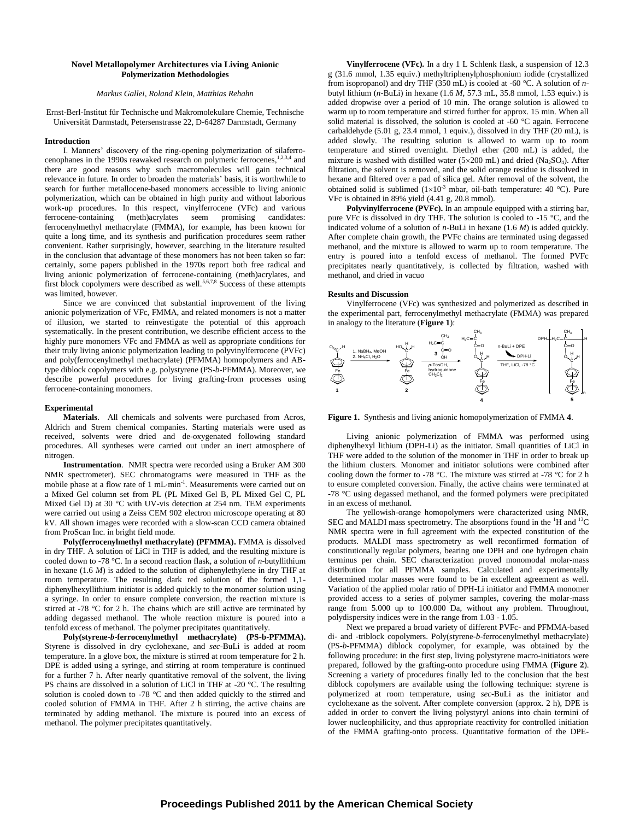# **Novel Metallopolymer Architectures via Living Anionic Polymerization Methodologies**

### *Markus Gallei, Roland Klein, Matthias Rehahn*

Ernst-Berl-Institut für Technische und Makromolekulare Chemie, Technische Universität Darmstadt, Petersenstrasse 22, D-64287 Darmstadt, Germany

#### **Introduction**

I. Manners' discovery of the ring-opening polymerization of silaferrocenophanes in the 1990s reawaked research on polymeric ferrocenes,  $1,2,3,4$  and there are good reasons why such macromolecules will gain technical relevance in future. In order to broaden the materials' basis, it is worthwhile to search for further metallocene-based monomers accessible to living anionic polymerization, which can be obtained in high purity and without laborious work-up procedures. In this respect, vinylferrocene (VFc) and various ferrocene-containing (meth)acrylates seem promising candidates: ferrocenylmethyl methacrylate (FMMA), for example, has been known for quite a long time, and its synthesis and purification procedures seem rather convenient. Rather surprisingly, however, searching in the literature resulted in the conclusion that advantage of these monomers has not been taken so far: certainly, some papers published in the 1970s report both free radical and living anionic polymerization of ferrocene-containing (meth)acrylates, and first block copolymers were described as well.<sup>5,6,7,8</sup> Success of these attempts was limited, however.

Since we are convinced that substantial improvement of the living anionic polymerization of VFc, FMMA, and related monomers is not a matter of illusion, we started to reinvestigate the potential of this approach systematically. In the present contribution, we describe efficient access to the highly pure monomers VFc and FMMA as well as appropriate conditions for their truly living anionic polymerization leading to polyvinylferrocene (PVFc) and poly(ferrocenylmethyl methacrylate) (PFMMA) homopolymers and ABtype diblock copolymers with e.g. polystyrene (PS-*b*-PFMMA). Moreover, we describe powerful procedures for living grafting-from processes using ferrocene-containing monomers.

# **Experimental**

**Materials**. All chemicals and solvents were purchased from Acros, Aldrich and Strem chemical companies. Starting materials were used as received, solvents were dried and de-oxygenated following standard procedures. All syntheses were carried out under an inert atmosphere of nitrogen.

**Instrumentation**. NMR spectra were recorded using a Bruker AM 300 NMR spectrometer). SEC chromatograms were measured in THF as the mobile phase at a flow rate of 1 mL·min<sup>-1</sup>. Measurements were carried out on a Mixed Gel column set from PL (PL Mixed Gel B, PL Mixed Gel C, PL Mixed Gel D) at 30 °C with UV-vis detection at 254 nm. TEM experiments were carried out using a Zeiss CEM 902 electron microscope operating at 80 kV. All shown images were recorded with a slow-scan CCD camera obtained from ProScan Inc. in bright field mode.

**Poly(ferrocenylmethyl methacrylate) (PFMMA).** FMMA is dissolved in dry THF. A solution of LiCl in THF is added, and the resulting mixture is cooled down to -78 °C. In a second reaction flask, a solution of *n*-butyllithium in hexane (1.6 *M*) is added to the solution of diphenylethylene in dry THF at room temperature. The resulting dark red solution of the formed 1,1 diphenylhexyllithium initiator is added quickly to the monomer solution using a syringe. In order to ensure complete conversion, the reaction mixture is stirred at -78 °C for 2 h. The chains which are still active are terminated by adding degassed methanol. The whole reaction mixture is poured into a tenfold excess of methanol. The polymer precipitates quantitatively.

**Poly(styrene-***b***-ferrocenylmethyl methacrylate) (PS-b-PFMMA).** Styrene is dissolved in dry cyclohexane, and *sec*-BuLi is added at room temperature. In a glove box, the mixture is stirred at room temperature for 2 h. DPE is added using a syringe, and stirring at room temperature is continued for a further 7 h. After nearly quantitative removal of the solvent, the living PS chains are dissolved in a solution of LiCl in THF at -20 °C. The resulting solution is cooled down to -78 °C and then added quickly to the stirred and cooled solution of FMMA in THF. After 2 h stirring, the active chains are terminated by adding methanol. The mixture is poured into an excess of methanol. The polymer precipitates quantitatively.

**Vinylferrocene (VFc).** In a dry 1 L Schlenk flask, a suspension of 12.3 g (31.6 mmol, 1.35 equiv.) methyltriphenylphosphonium iodide (crystallized from isopropanol) and dry THF (350 mL) is cooled at -60 °C. A solution of *n*butyl lithium (*n*-BuLi) in hexane (1.6 *M*, 57.3 mL, 35.8 mmol, 1.53 equiv.) is added dropwise over a period of 10 min. The orange solution is allowed to warm up to room temperature and stirred further for approx. 15 min. When all solid material is dissolved, the solution is cooled at -60 °C again. Ferrocene carbaldehyde (5.01 g, 23.4 mmol, 1 equiv.), dissolved in dry THF (20 mL), is added slowly. The resulting solution is allowed to warm up to room temperature and stirred overnight. Diethyl ether (200 mL) is added, the mixture is washed with distilled water ( $5 \times 200$  mL) and dried (Na<sub>2</sub>SO<sub>4</sub>). After filtration, the solvent is removed, and the solid orange residue is dissolved in hexane and filtered over a pad of silica gel. After removal of the solvent, the obtained solid is sublimed  $(1\times10^{-3}$  mbar, oil-bath temperature: 40 °C). Pure VFc is obtained in 89% yield (4.41 g, 20.8 mmol).

**Polyvinylferrocene (PVFc).** In an ampoule equipped with a stirring bar, pure VFc is dissolved in dry THF. The solution is cooled to -15 °C, and the indicated volume of a solution of *n*-BuLi in hexane (1.6 *M*) is added quickly. After complete chain growth, the PVFc chains are terminated using degassed methanol, and the mixture is allowed to warm up to room temperature. The entry is poured into a tenfold excess of methanol. The formed PVFc precipitates nearly quantitatively, is collected by filtration, washed with methanol, and dried in vacuo

### **Results and Discussion**

Vinylferrocene (VFc) was synthesized and polymerized as described in the experimental part, ferrocenylmethyl methacrylate (FMMA) was prepared in analogy to the literature (**Figure 1**):



**Figure 1.** Synthesis and living anionic homopolymerization of FMMA **4**.

Living anionic polymerization of FMMA was performed using diphenylhexyl lithium (DPH-Li) as the initiator. Small quantities of LiCl in THF were added to the solution of the monomer in THF in order to break up the lithium clusters. Monomer and initiator solutions were combined after cooling down the former to -78 °C. The mixture was stirred at -78 °C for 2 h to ensure completed conversion. Finally, the active chains were terminated at -78 °C using degassed methanol, and the formed polymers were precipitated in an excess of methanol.

The yellowish-orange homopolymers were characterized using NMR, SEC and MALDI mass spectrometry. The absorptions found in the  ${}^{1}H$  and  ${}^{13}C$ NMR spectra were in full agreement with the expected constitution of the products. MALDI mass spectrometry as well reconfirmed formation of constitutionally regular polymers, bearing one DPH and one hydrogen chain terminus per chain. SEC characterization proved monomodal molar-mass distribution for all PFMMA samples. Calculated and experimentally determined molar masses were found to be in excellent agreement as well. Variation of the applied molar ratio of DPH-Li initiator and FMMA monomer provided access to a series of polymer samples, covering the molar-mass range from 5.000 up to 100.000 Da, without any problem. Throughout, polydispersity indices were in the range from 1.03 - 1.05.

Next we prepared a broad variety of different PVFc- and PFMMA-based di- and -triblock copolymers. Poly(styrene-*b*-ferrocenylmethyl methacrylate) (PS-*b*-PFMMA) diblock copolymer, for example, was obtained by the following procedure: in the first step, living polystyrene macro-initiators were prepared, followed by the grafting-onto procedure using FMMA (**Figure 2**). Screening a variety of procedures finally led to the conclusion that the best diblock copolymers are available using the following technique: styrene is polymerized at room temperature, using *sec*-BuLi as the initiator and cyclohexane as the solvent. After complete conversion (approx. 2 h), DPE is added in order to convert the living polystyryl anions into chain termini of lower nucleophilicity, and thus appropriate reactivity for controlled initiation of the FMMA grafting-onto process. Quantitative formation of the DPE-